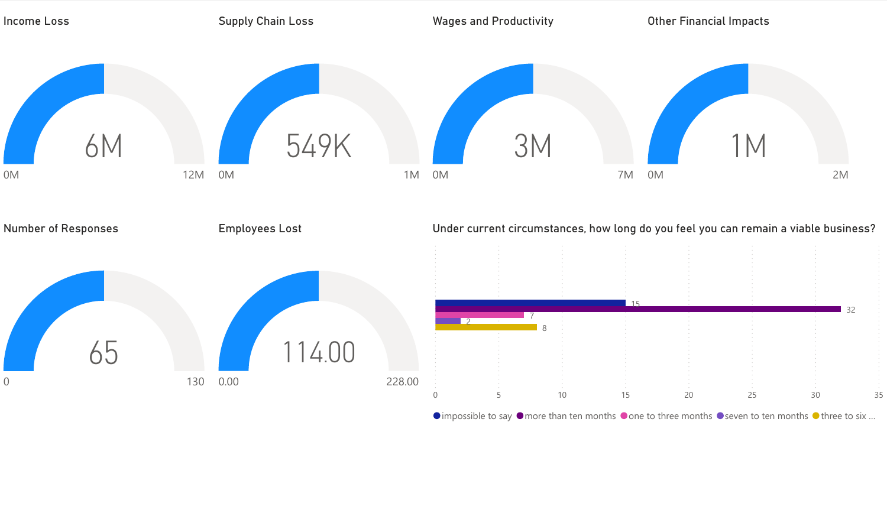

 $\bullet$  impossible to say  $\bullet$  more than ten months  $\bullet$  one to three months  $\bullet$  seven to ten months  $\bullet$  three to six ...